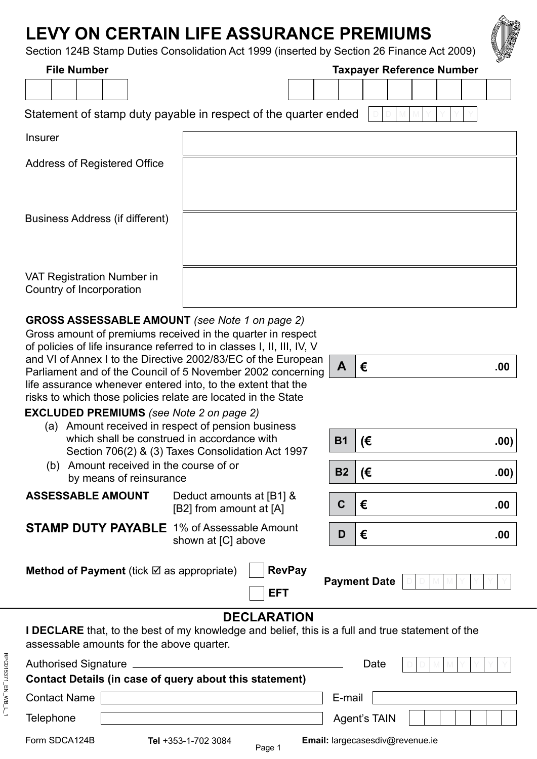# **LEVY ON CERTAIN LIFE ASSURANCE PREMIUMS**

Section 124B Stamp Duties Consolidation Act 1999 (inserted by Section 26 Finance Act 2009)

| <b>File Number</b>                                                                                                                      | Section 124B Stamp Duties Consolidation Act 1999 (inserted by Section 26 Finance Act 2009)<br><b>Taxpayer Reference Number</b> |           |                     |  |  |  | <b>SKA</b> |      |
|-----------------------------------------------------------------------------------------------------------------------------------------|--------------------------------------------------------------------------------------------------------------------------------|-----------|---------------------|--|--|--|------------|------|
|                                                                                                                                         |                                                                                                                                |           |                     |  |  |  |            |      |
|                                                                                                                                         |                                                                                                                                |           |                     |  |  |  |            |      |
|                                                                                                                                         | Statement of stamp duty payable in respect of the quarter ended                                                                |           |                     |  |  |  |            |      |
| <b>Insurer</b>                                                                                                                          |                                                                                                                                |           |                     |  |  |  |            |      |
| <b>Address of Registered Office</b>                                                                                                     |                                                                                                                                |           |                     |  |  |  |            |      |
|                                                                                                                                         |                                                                                                                                |           |                     |  |  |  |            |      |
|                                                                                                                                         |                                                                                                                                |           |                     |  |  |  |            |      |
| <b>Business Address (if different)</b>                                                                                                  |                                                                                                                                |           |                     |  |  |  |            |      |
|                                                                                                                                         |                                                                                                                                |           |                     |  |  |  |            |      |
|                                                                                                                                         |                                                                                                                                |           |                     |  |  |  |            |      |
| VAT Registration Number in                                                                                                              |                                                                                                                                |           |                     |  |  |  |            |      |
| Country of Incorporation                                                                                                                |                                                                                                                                |           |                     |  |  |  |            |      |
| <b>GROSS ASSESSABLE AMOUNT</b> (see Note 1 on page 2)                                                                                   |                                                                                                                                |           |                     |  |  |  |            |      |
|                                                                                                                                         | Gross amount of premiums received in the quarter in respect                                                                    |           |                     |  |  |  |            |      |
| of policies of life insurance referred to in classes I, II, III, IV, V<br>and VI of Annex I to the Directive 2002/83/EC of the European |                                                                                                                                |           |                     |  |  |  |            |      |
| Parliament and of the Council of 5 November 2002 concerning                                                                             |                                                                                                                                |           | €                   |  |  |  |            | .00  |
| life assurance whenever entered into, to the extent that the<br>risks to which those policies relate are located in the State           |                                                                                                                                |           |                     |  |  |  |            |      |
| <b>EXCLUDED PREMIUMS</b> (see Note 2 on page 2)                                                                                         |                                                                                                                                |           |                     |  |  |  |            |      |
| (a) Amount received in respect of pension business<br>which shall be construed in accordance with                                       |                                                                                                                                |           |                     |  |  |  |            |      |
|                                                                                                                                         | Section 706(2) & (3) Taxes Consolidation Act 1997                                                                              | <b>B1</b> | (€                  |  |  |  |            | .00) |
|                                                                                                                                         | (b) Amount received in the course of or                                                                                        |           |                     |  |  |  |            | .00) |
| by means of reinsurance<br><b>ASSESSABLE AMOUNT</b>                                                                                     | Deduct amounts at [B1] &                                                                                                       |           | (€                  |  |  |  |            |      |
|                                                                                                                                         | [B2] from amount at [A]                                                                                                        | C         | €                   |  |  |  |            | .00  |
| <b>STAMP DUTY PAYABLE</b> 1% of Assessable Amount                                                                                       |                                                                                                                                | D         | €                   |  |  |  |            | .00  |
|                                                                                                                                         | shown at [C] above                                                                                                             |           |                     |  |  |  |            |      |
| <b>Method of Payment</b> (tick $\boxtimes$ as appropriate)                                                                              | <b>RevPay</b>                                                                                                                  |           |                     |  |  |  |            |      |
|                                                                                                                                         | <b>EFT</b>                                                                                                                     |           | <b>Payment Date</b> |  |  |  |            |      |
|                                                                                                                                         |                                                                                                                                |           |                     |  |  |  |            |      |
|                                                                                                                                         | <b>DECLARATION</b><br><b>I DECLARE</b> that, to the best of my knowledge and belief, this is a full and true statement of the  |           |                     |  |  |  |            |      |
| assessable amounts for the above quarter.                                                                                               |                                                                                                                                |           |                     |  |  |  |            |      |
| <b>Authorised Signature</b>                                                                                                             |                                                                                                                                |           | Date                |  |  |  |            |      |
| Contact Details (in case of query about this statement)                                                                                 |                                                                                                                                |           |                     |  |  |  |            |      |
| <b>Contact Name</b>                                                                                                                     |                                                                                                                                | E-mail    |                     |  |  |  |            |      |

Form SDCA124B

Telephone

- 
- 



**Tel** +353-1-702 3084 **Email:** [largecasesdiv@revenue.ie](mailto:largecasesdiv@revenue.ie)

Agent's TAIN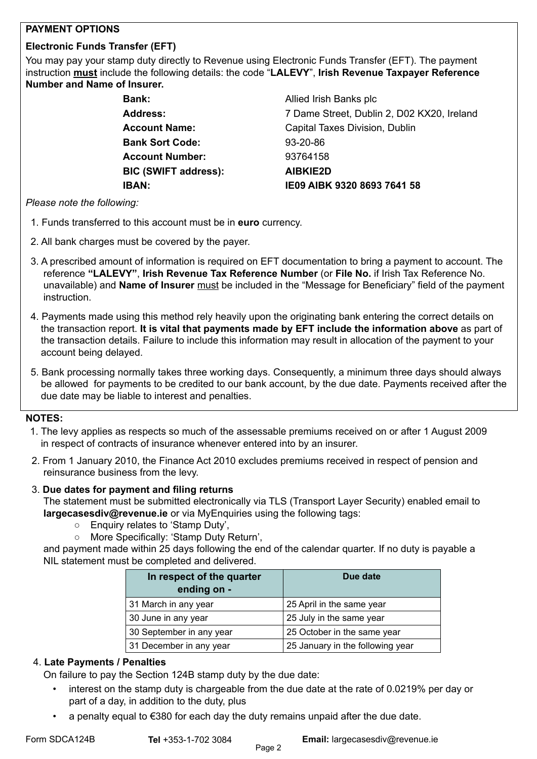# **PAYMENT OPTIONS**

# **Electronic Funds Transfer (EFT)**

You may pay your stamp duty directly to Revenue using Electronic Funds Transfer (EFT). The payment instruction **must** include the following details: the code "**LALEVY**", **Irish Revenue Taxpayer Reference Number and Name of Insurer.**

> **Bank: Allied Irish Banks plc Bank Sort Code:** 93-20-86 **Account Number:** 93764158 **BIC (SWIFT address): AIBKIE2D**

 **Address:** 7 Dame Street, Dublin 2, D02 KX20, Ireland **Account Name:** Capital Taxes Division, Dublin  **IBAN: IE09 AIBK 9320 8693 7641 58**

#### *Please note the following:*

- 1. Funds transferred to this account must be in **euro** currency.
- 2. All bank charges must be covered by the payer.
- 3. A prescribed amount of information is required on EFT documentation to bring a payment to account. The reference **"LALEVY"**, **Irish Revenue Tax Reference Number** (or **File No.** if Irish Tax Reference No. unavailable) and **Name of Insurer** must be included in the "Message for Beneficiary" field of the payment instruction.
- 4. Payments made using this method rely heavily upon the originating bank entering the correct details on the transaction report. **It is vital that payments made by EFT include the information above** as part of the transaction details. Failure to include this information may result in allocation of the payment to your account being delayed.
- 5. Bank processing normally takes three working days. Consequently, a minimum three days should always be allowedfor payments to be credited to our bank account, by the due date. Payments received after the due date may be liable to interest and penalties.

# **NOTES:**

- 1. The levy applies as respects so much of the assessable premiums received on or after 1 August 2009 in respect of contracts of insurance whenever entered into by an insurer.
- 2. From 1 January 2010, the Finance Act 2010 excludes premiums received in respect of pension and reinsurance business from the levy.

# 3. **Due dates for payment and filing returns**

The statement must be submitted electronically via TLS (Transport Layer Security) enabled email to [largecasesdiv@revenue.ie](mailto:largecasesdiv@revenue.ie) or via [MyEnquiries](https://www.revenue.ie/en/online-services/services/manage-your-record/myenquiries.aspx) using the following tags:

- Enquiry relates to 'Stamp Duty',
- More Specifically: 'Stamp Duty Return',

and payment made within 25 days following the end of the calendar quarter. If no duty is payable a NIL statement must be completed and delivered.

| In respect of the quarter<br>ending on - | Due date                         |  |  |  |  |
|------------------------------------------|----------------------------------|--|--|--|--|
| 31 March in any year                     | 25 April in the same year        |  |  |  |  |
| 30 June in any year                      | 25 July in the same year         |  |  |  |  |
| 30 September in any year                 | 25 October in the same year      |  |  |  |  |
| 31 December in any year                  | 25 January in the following year |  |  |  |  |

# 4. **Late Payments / Penalties**

On failure to pay the Section 124B stamp duty by the due date:

- interest on the stamp duty is chargeable from the due date at the rate of 0.0219% per day or part of a day, in addition to the duty, plus
- a penalty equal to  $\epsilon$ 380 for each day the duty remains unpaid after the due date.

Form SDCA124B **Tel** +353-1-702 3084 **Email:** [largecasesdiv@revenue.ie](mailto:largecasesdiv@revenue.ie)